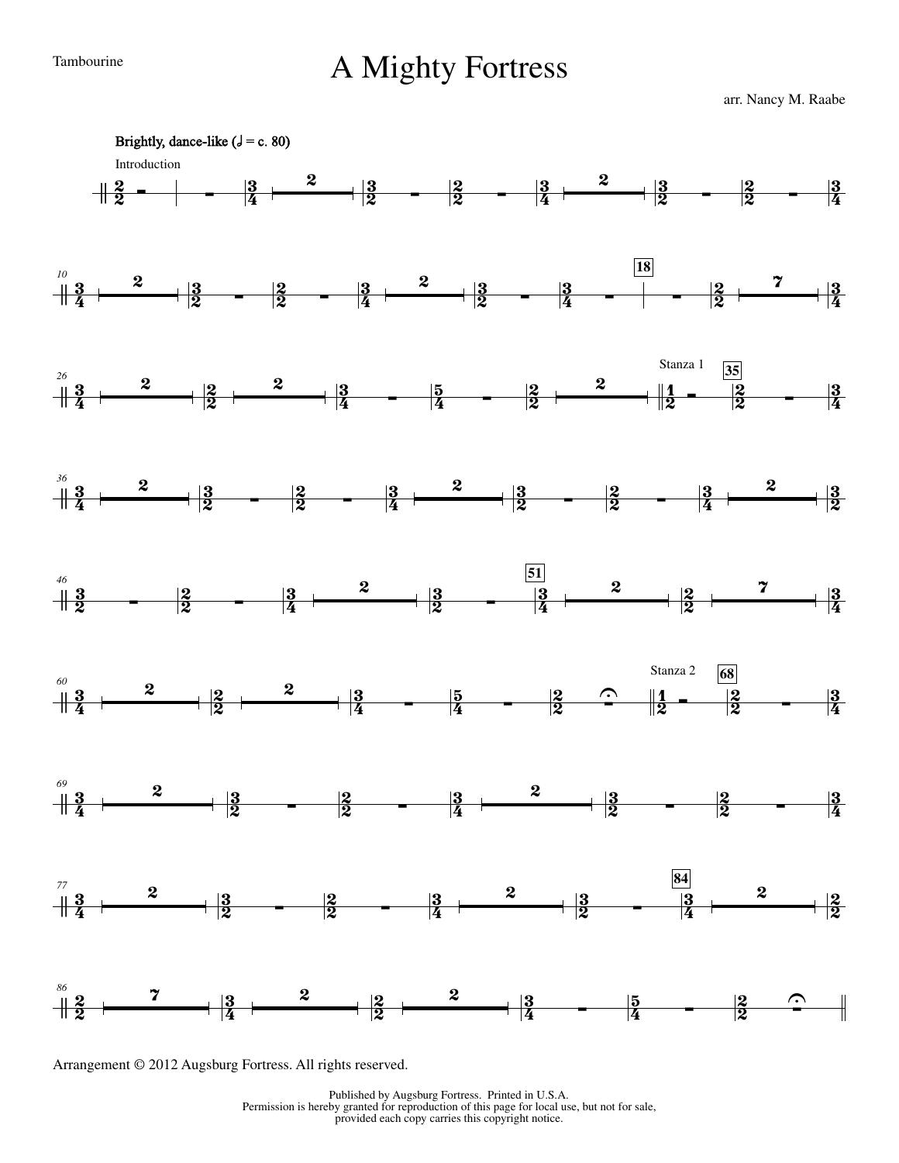## Tambourine **A Mighty Fortress**

arr. Nancy M. Raabe



Arrangement © 2012 Augsburg Fortress. All rights reserved.